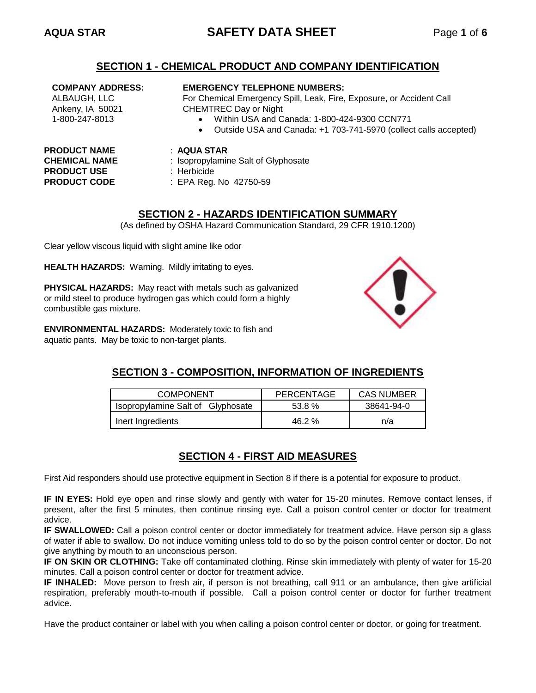# **AQUA STAR SAFETY DATA SHEET** Page **1** of **6**

## **SECTION 1 - CHEMICAL PRODUCT AND COMPANY IDENTIFICATION**

### **COMPANY ADDRESS:**

ALBAUGH, LLC Ankeny, IA 50021 1-800-247-8013

#### **EMERGENCY TELEPHONE NUMBERS:**

For Chemical Emergency Spill, Leak, Fire, Exposure, or Accident Call CHEMTREC Day or Night

- Within USA and Canada: 1-800-424-9300 CCN771
- Outside USA and Canada: +1 703-741-5970 (collect calls accepted)

# **PRODUCT NAME** : **AQUA STAR PRODUCT USE** : Herbicide

- 
- **CHEMICAL NAME** : Isopropylamine Salt of Glyphosate
	-
- **PRODUCT CODE** : EPA Reg. No 42750-59

## **SECTION 2 - HAZARDS IDENTIFICATION SUMMARY**

(As defined by OSHA Hazard Communication Standard, 29 CFR 1910.1200)

Clear yellow viscous liquid with slight amine like odor

**HEALTH HAZARDS:** Warning. Mildly irritating to eyes.

**PHYSICAL HAZARDS:** May react with metals such as galvanized or mild steel to produce hydrogen gas which could form a highly combustible gas mixture.

**ENVIRONMENTAL HAZARDS:** Moderately toxic to fish and aquatic pants. May be toxic to non-target plants.



# **SECTION 3 - COMPOSITION, INFORMATION OF INGREDIENTS**

| <b>COMPONENT</b>                  | PERCENTAGE | <b>CAS NUMBER</b> |  |
|-----------------------------------|------------|-------------------|--|
| Isopropylamine Salt of Glyphosate | 53.8%      | 38641-94-0        |  |
| Inert Ingredients                 | 46.2%      | n/a               |  |

# **SECTION 4 - FIRST AID MEASURES**

First Aid responders should use protective equipment in Section 8 if there is a potential for exposure to product.

**IF IN EYES:** Hold eye open and rinse slowly and gently with water for 15-20 minutes. Remove contact lenses, if present, after the first 5 minutes, then continue rinsing eye. Call a poison control center or doctor for treatment advice.

**IF SWALLOWED:** Call a poison control center or doctor immediately for treatment advice. Have person sip a glass of water if able to swallow. Do not induce vomiting unless told to do so by the poison control center or doctor. Do not give anything by mouth to an unconscious person.

**IF ON SKIN OR CLOTHING:** Take off contaminated clothing. Rinse skin immediately with plenty of water for 15-20 minutes. Call a poison control center or doctor for treatment advice.

**IF INHALED:** Move person to fresh air, if person is not breathing, call 911 or an ambulance, then give artificial respiration, preferably mouth-to-mouth if possible. Call a poison control center or doctor for further treatment advice.

Have the product container or label with you when calling a poison control center or doctor, or going for treatment.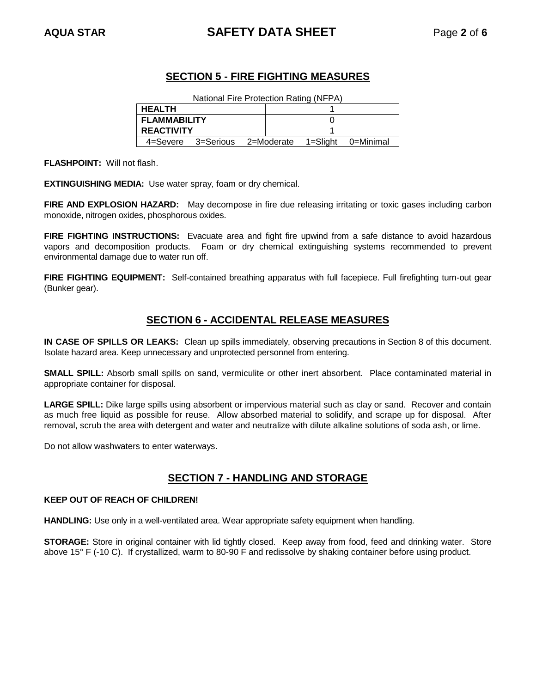# **AQUA STAR SAFETY DATA SHEET** Page **2** of **6**

# **SECTION 5 - FIRE FIGHTING MEASURES**

| National Fire Protection Rating (NFPA) |                                                  |  |  |  |  |
|----------------------------------------|--------------------------------------------------|--|--|--|--|
| <b>HEALTH</b>                          |                                                  |  |  |  |  |
| <b>FLAMMABILITY</b>                    |                                                  |  |  |  |  |
| <b>REACTIVITY</b>                      |                                                  |  |  |  |  |
|                                        | 4=Severe 3=Serious 2=Moderate 1=Slight 0=Minimal |  |  |  |  |

**FLASHPOINT:** Will not flash.

**EXTINGUISHING MEDIA:** Use water spray, foam or dry chemical.

**FIRE AND EXPLOSION HAZARD:** May decompose in fire due releasing irritating or toxic gases including carbon monoxide, nitrogen oxides, phosphorous oxides.

**FIRE FIGHTING INSTRUCTIONS:** Evacuate area and fight fire upwind from a safe distance to avoid hazardous vapors and decomposition products. Foam or dry chemical extinguishing systems recommended to prevent environmental damage due to water run off.

**FIRE FIGHTING EQUIPMENT:** Self-contained breathing apparatus with full facepiece. Full firefighting turn-out gear (Bunker gear).

## **SECTION 6 - ACCIDENTAL RELEASE MEASURES**

**IN CASE OF SPILLS OR LEAKS:** Clean up spills immediately, observing precautions in Section 8 of this document. Isolate hazard area. Keep unnecessary and unprotected personnel from entering.

**SMALL SPILL:** Absorb small spills on sand, vermiculite or other inert absorbent. Place contaminated material in appropriate container for disposal.

**LARGE SPILL:** Dike large spills using absorbent or impervious material such as clay or sand. Recover and contain as much free liquid as possible for reuse. Allow absorbed material to solidify, and scrape up for disposal. After removal, scrub the area with detergent and water and neutralize with dilute alkaline solutions of soda ash, or lime.

Do not allow washwaters to enter waterways.

# **SECTION 7 - HANDLING AND STORAGE**

#### **KEEP OUT OF REACH OF CHILDREN!**

**HANDLING:** Use only in a well-ventilated area. Wear appropriate safety equipment when handling.

**STORAGE:** Store in original container with lid tightly closed. Keep away from food, feed and drinking water. Store above 15° F (-10 C). If crystallized, warm to 80-90 F and redissolve by shaking container before using product.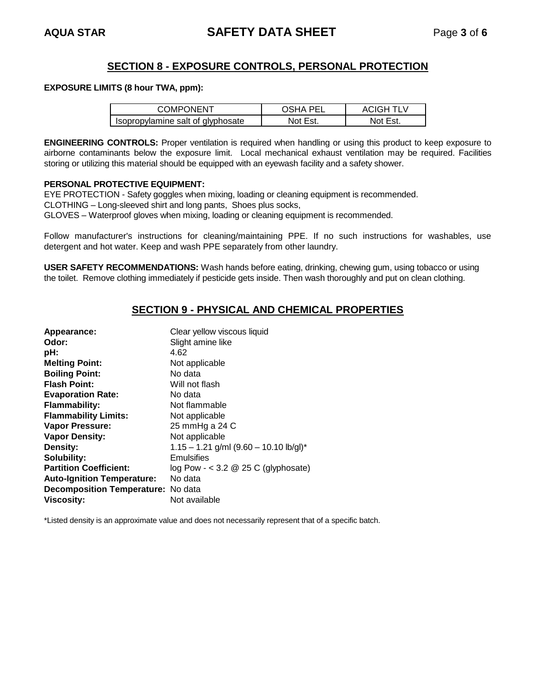## **SECTION 8 - EXPOSURE CONTROLS, PERSONAL PROTECTION**

#### **EXPOSURE LIMITS (8 hour TWA, ppm):**

| COMPONENT                         | OSHA PEL | <b>ACIGH TLV</b> |
|-----------------------------------|----------|------------------|
| Isopropylamine salt of glyphosate | Not Est. | Not Est.         |

**ENGINEERING CONTROLS:** Proper ventilation is required when handling or using this product to keep exposure to airborne contaminants below the exposure limit. Local mechanical exhaust ventilation may be required. Facilities storing or utilizing this material should be equipped with an eyewash facility and a safety shower.

#### **PERSONAL PROTECTIVE EQUIPMENT:**

EYE PROTECTION - Safety goggles when mixing, loading or cleaning equipment is recommended.

CLOTHING – Long-sleeved shirt and long pants, Shoes plus socks,

GLOVES – Waterproof gloves when mixing, loading or cleaning equipment is recommended.

Follow manufacturer's instructions for cleaning/maintaining PPE. If no such instructions for washables, use detergent and hot water. Keep and wash PPE separately from other laundry.

**USER SAFETY RECOMMENDATIONS:** Wash hands before eating, drinking, chewing gum, using tobacco or using the toilet. Remove clothing immediately if pesticide gets inside. Then wash thoroughly and put on clean clothing.

# **SECTION 9 - PHYSICAL AND CHEMICAL PROPERTIES**

| Appearance:                               | Clear yellow viscous liquid              |
|-------------------------------------------|------------------------------------------|
| Odor:                                     | Slight amine like                        |
| pH:                                       | 4.62                                     |
| <b>Melting Point:</b>                     | Not applicable                           |
| <b>Boiling Point:</b>                     | No data                                  |
| <b>Flash Point:</b>                       | Will not flash                           |
| <b>Evaporation Rate:</b>                  | No data                                  |
| <b>Flammability:</b>                      | Not flammable                            |
| <b>Flammability Limits:</b>               | Not applicable                           |
| Vapor Pressure:                           | 25 mmHg a 24 C                           |
| <b>Vapor Density:</b>                     | Not applicable                           |
| Density:                                  | $1.15 - 1.21$ g/ml (9.60 - 10.10 lb/gl)* |
| Solubility:                               | Emulsifies                               |
| <b>Partition Coefficient:</b>             | log Pow - $<$ 3.2 @ 25 C (glyphosate)    |
| <b>Auto-Ignition Temperature:</b>         | No data                                  |
| <b>Decomposition Temperature:</b> No data |                                          |
| <b>Viscosity:</b>                         | Not available                            |

\*Listed density is an approximate value and does not necessarily represent that of a specific batch.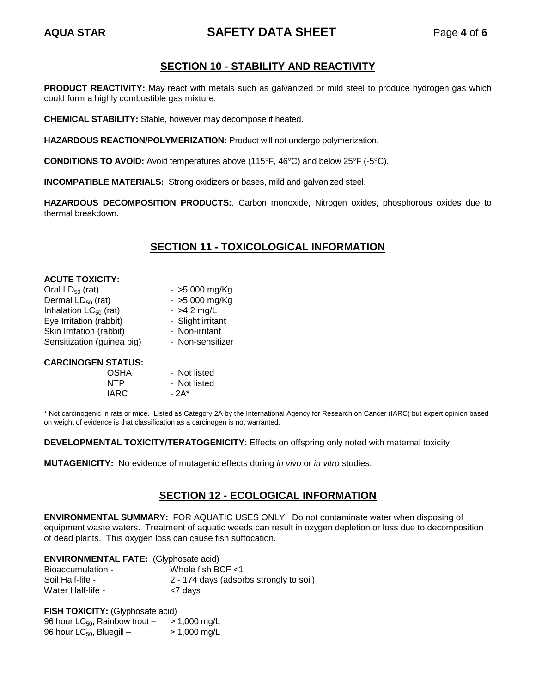# **AQUA STAR SAFETY DATA SHEET** Page **4** of **6**

# **SECTION 10 - STABILITY AND REACTIVITY**

**PRODUCT REACTIVITY:** May react with metals such as galvanized or mild steel to produce hydrogen gas which could form a highly combustible gas mixture.

**CHEMICAL STABILITY:** Stable, however may decompose if heated.

**HAZARDOUS REACTION/POLYMERIZATION:** Product will not undergo polymerization.

**CONDITIONS TO AVOID:** Avoid temperatures above (115°F, 46°C) and below 25°F (-5°C).

**INCOMPATIBLE MATERIALS:** Strong oxidizers or bases, mild and galvanized steel.

**HAZARDOUS DECOMPOSITION PRODUCTS:**. Carbon monoxide, Nitrogen oxides, phosphorous oxides due to thermal breakdown.

# **SECTION 11 - TOXICOLOGICAL INFORMATION**

| <b>ACUTE TOXICITY:</b>     |                   |
|----------------------------|-------------------|
| Oral $LD_{50}$ (rat)       | $-$ >5,000 mg/Kg  |
| Dermal $LD_{50}$ (rat)     | $-$ >5,000 mg/Kg  |
| Inhalation $LC_{50}$ (rat) | $-$ >4.2 mg/L     |
| Eye Irritation (rabbit)    | - Slight irritant |
| Skin Irritation (rabbit)   | - Non-irritant    |
| Sensitization (guinea pig) | - Non-sensitizer  |
|                            |                   |
| <b>CARCINOGEN STATUS:</b>  |                   |

OSHA - Not listed NTP - Not listed  $IARC - 2A<sup>*</sup>$ 

\* Not carcinogenic in rats or mice. Listed as Category 2A by the International Agency for Research on Cancer (IARC) but expert opinion based on weight of evidence is that classification as a carcinogen is not warranted.

**DEVELOPMENTAL TOXICITY/TERATOGENICITY**: Effects on offspring only noted with maternal toxicity

**MUTAGENICITY:** No evidence of mutagenic effects during *in vivo* or *in vitro* studies.

# **SECTION 12 - ECOLOGICAL INFORMATION**

**ENVIRONMENTAL SUMMARY:** FOR AQUATIC USES ONLY: Do not contaminate water when disposing of equipment waste waters. Treatment of aquatic weeds can result in oxygen depletion or loss due to decomposition of dead plants. This oxygen loss can cause fish suffocation.

| <b>ENVIRONMENTAL FATE:</b> (Glyphosate acid) |                                         |
|----------------------------------------------|-----------------------------------------|
| Bioaccumulation -                            | Whole fish BCF $<$ 1                    |
| Soil Half-life -                             | 2 - 174 days (adsorbs strongly to soil) |
| Water Half-life -                            | <7 days                                 |

**FISH TOXICITY:** (Glyphosate acid)

96 hour  $LC_{50}$ , Rainbow trout  $-$  > 1,000 mg/L 96 hour  $LC_{50}$ , Bluegill –  $> 1,000$  mg/L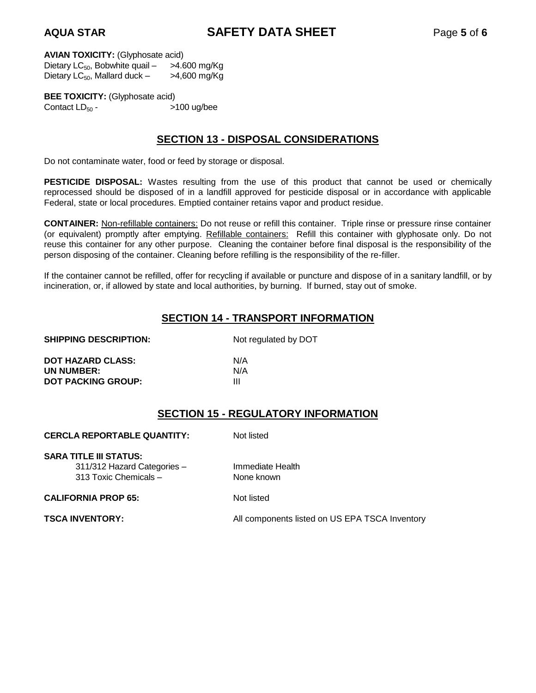**AQUA STAR SAFETY DATA SHEET** Page **5** of **6**

**AVIAN TOXICITY:** (Glyphosate acid)

Dietary  $LC_{50}$ , Bobwhite quail –  $>4.600$  mg/Kg Dietary  $LC_{50}$ , Mallard duck  $>4,600$  mg/Kg

**BEE TOXICITY:** (Glyphosate acid) Contact  $LD_{50}$  -  $>100$  ug/bee

# **SECTION 13 - DISPOSAL CONSIDERATIONS**

Do not contaminate water, food or feed by storage or disposal.

**PESTICIDE DISPOSAL:** Wastes resulting from the use of this product that cannot be used or chemically reprocessed should be disposed of in a landfill approved for pesticide disposal or in accordance with applicable Federal, state or local procedures. Emptied container retains vapor and product residue.

**CONTAINER:** Non-refillable containers: Do not reuse or refill this container. Triple rinse or pressure rinse container (or equivalent) promptly after emptying. Refillable containers: Refill this container with glyphosate only. Do not reuse this container for any other purpose. Cleaning the container before final disposal is the responsibility of the person disposing of the container. Cleaning before refilling is the responsibility of the re-filler.

If the container cannot be refilled, offer for recycling if available or puncture and dispose of in a sanitary landfill, or by incineration, or, if allowed by state and local authorities, by burning. If burned, stay out of smoke.

# **SECTION 14 - TRANSPORT INFORMATION**

#### **SHIPPING DESCRIPTION:** Not regulated by DOT

| <b>DOT HAZARD CLASS:</b>  | N/A |
|---------------------------|-----|
| UN NUMBER:                | N/A |
| <b>DOT PACKING GROUP:</b> |     |

# **SECTION 15 - REGULATORY INFORMATION**

**TSCA** Inventory

| <b>CERCLA REPORTABLE QUANTITY:</b>                                                    | Not listed                      |  |  |
|---------------------------------------------------------------------------------------|---------------------------------|--|--|
| <b>SARA TITLE III STATUS:</b><br>311/312 Hazard Categories -<br>313 Toxic Chemicals - | Immediate Health<br>None known  |  |  |
| <b>CALIFORNIA PROP 65:</b>                                                            | Not listed                      |  |  |
| <b>TSCA INVENTORY:</b>                                                                | All components listed on US EPA |  |  |